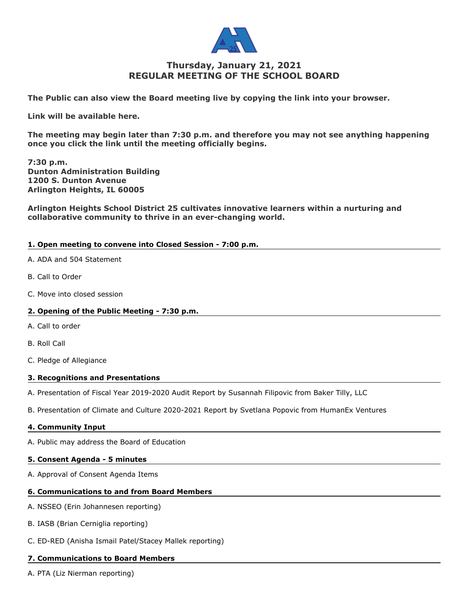

# **Thursday, January 21, 2021 REGULAR MEETING OF THE SCHOOL BOARD**

**The Public can also view the Board meeting live by copying the link into your browser.** 

**Link will be available here.**

**The meeting may begin later than 7:30 p.m. and therefore you may not see anything happening once you click the link until the meeting officially begins.**

**7:30 p.m. Dunton Administration Building 1200 S. Dunton Avenue Arlington Heights, IL 60005**

**Arlington Heights School District 25 cultivates innovative learners within a nurturing and collaborative community to thrive in an ever-changing world.**

### **1. Open meeting to convene into Closed Session - 7:00 p.m.**

- A. ADA and 504 Statement
- B. Call to Order
- C. Move into closed session

### **2. Opening of the Public Meeting - 7:30 p.m.**

- A. Call to order
- B. Roll Call
- C. Pledge of Allegiance

### **3. Recognitions and Presentations**

- A. Presentation of Fiscal Year 2019-2020 Audit Report by Susannah Filipovic from Baker Tilly, LLC
- B. Presentation of Climate and Culture 2020-2021 Report by Svetlana Popovic from HumanEx Ventures

#### **4. Community Input**

A. Public may address the Board of Education

#### **5. Consent Agenda - 5 minutes**

A. Approval of Consent Agenda Items

### **6. Communications to and from Board Members**

- A. NSSEO (Erin Johannesen reporting)
- B. IASB (Brian Cerniglia reporting)
- C. ED-RED (Anisha Ismail Patel/Stacey Mallek reporting)

#### **7. Communications to Board Members**

A. PTA (Liz Nierman reporting)